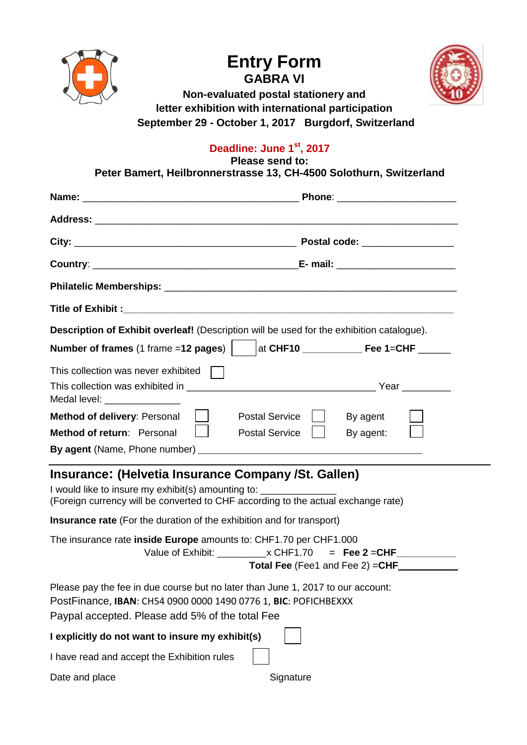





**Non-evaluated postal stationery and letter exhibition with international participation September 29 - October 1, 2017 Burgdorf, Switzerland**

## **Deadline: June 1 st , 2017**

**Please send to:**

**Peter Bamert, Heilbronnerstrasse 13, CH-4500 Solothurn, Switzerland**

|                                                                                                                                                                                                       | <b>Description of Exhibit overleaf!</b> (Description will be used for the exhibition catalogue). |
|-------------------------------------------------------------------------------------------------------------------------------------------------------------------------------------------------------|--------------------------------------------------------------------------------------------------|
| Number of frames (1 frame = 12 pages) $ $                                                                                                                                                             |                                                                                                  |
| This collection was never exhibited                                                                                                                                                                   |                                                                                                  |
| Medal level: ________________                                                                                                                                                                         |                                                                                                  |
| <b>Method of delivery: Personal</b>                                                                                                                                                                   | <b>Postal Service</b><br>By agent                                                                |
| Method of return: Personal                                                                                                                                                                            | <b>Postal Service</b><br>By agent:                                                               |
|                                                                                                                                                                                                       |                                                                                                  |
| Insurance: (Helvetia Insurance Company /St. Gallen)                                                                                                                                                   |                                                                                                  |
| I would like to insure my exhibit(s) amounting to:                                                                                                                                                    | (Foreign currency will be converted to CHF according to the actual exchange rate)                |
| <b>Insurance rate</b> (For the duration of the exhibition and for transport)                                                                                                                          |                                                                                                  |
| The insurance rate inside Europe amounts to: CHF1.70 per CHF1.000                                                                                                                                     | Value of Exhibit: $\angle x$ CHF1.70 = Fee 2 = CHF<br>Total Fee (Fee1 and Fee 2) = CHF           |
| Please pay the fee in due course but no later than June 1, 2017 to our account:<br>PostFinance, IBAN: CH54 0900 0000 1490 0776 1, BIC: POFICHBEXXX<br>Paypal accepted. Please add 5% of the total Fee |                                                                                                  |
| I explicitly do not want to insure my exhibit(s)                                                                                                                                                      |                                                                                                  |
| I have read and accept the Exhibition rules                                                                                                                                                           |                                                                                                  |

Date and place Signature